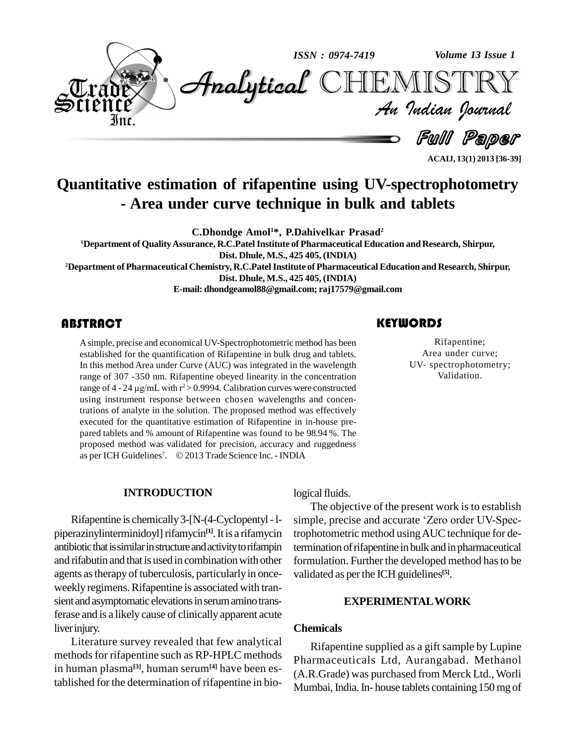

**Quantitative estimation of rifapentine using UV-spectrophotometry - Area under curve technique in bulk and tablets**

**C.Dhondge Amol1\*, P.Dahivelkar Prasad 2**

**<sup>1</sup>Department of QualityAssurance, R.C.PatelInstitute of Pharmaceutical Education and Research, Shirpur, Dist. Dhule, M.S., 425 405, (INDIA)**

**<sup>2</sup>Department of Pharmaceutical Chemistry, R.C.PatelInstitute of Pharmaceutical Education and Research, Shirpur, Dist. Dhule, M.S., 425 405, (INDIA)**

**E-mail: [dhondgeamol88@gmail.com;](mailto:dhondgeamol88@gmail.com;) [raj17579@gmail.com](mailto:raj17579@gmail.com)**

A simple, precise and econditions and example.<br>In this method Area under Asimple, precise and economical UV-Spectrophotometric method has been established for the quantification of Rifapentine in bulk drug and tablets. In this method Area under Curve (AUC) was integrated in the wavelength range of 307 -350 nm. Rifapentine obeyed linearity in the concentration In this method Area under Curve (AUC) was integrated in the wavelength<br>range of 307 -350 nm. Rifapentine obeyed linearity in the concentration<br>range of 4 - 24  $\mu$ g/mL with r<sup>2</sup>> 0.9994. Calibration curves were constructe using instrument response between chosen wavelengths and concentrations of analyte in the solution. The proposed method was effectively executed for the quantitative estimation of Rifapentine in in-house prepared tablets and % amount of Rifapentine was found to be 98.94 %. The proposed method was validated for precision, accuracy and ruggedness as per ICH Guidelines<sup>7</sup>. © 2 nount of Rifapentine was found to be 98.94 %. The<br>validated for precision, accuracy and ruggedness<br> $\therefore$  © 2013 Trade Science Inc. - INDIA

#### **INTRODUCTION**

Rifapentine is chemically3-[N-(4-Cyclopentyl-l piperazinylinterminidoyl] rifamycin<sup>[1]</sup>. It is a rifamycin trophot antibiotic that is similar in structure and activity to rifampin and rifabutin and that is used in combination with other agents as therapy of tuberculosis, particularly in onceweekly regimens. Rifapentine is associated with transient and asymptomatic elevations in serum amino transferase and is a likely cause of clinically apparent acute liverinjury.

Literature survey revealed that few analytical methods for rifapentine such as RP-HPLC methods in human plasma<sup>[3]</sup>, human serum<sup>[4]</sup> have been established for the determination of rifapentine in bio-

### **KEYWORDS**

Rifapentine;<br>
Area under curve;<br>
UV- spectrophotometry; Rifapentine; Area under curve; Validation.

**ACAIJ, 13(1) 2013 [36-39]**

logical fluids.

The objective of the present work is to establish simple, precise and accurate 'Zero order UV-Spectrophotometric method usingAUC technique for determination of rifapentine in bulk and in pharmaceutical formulation. Further the developed method has to be validated as perthe ICH guidelines **[5]**.

#### **EXPERIMENTALWORK**

#### **Chemicals**

Rifapentine supplied as a gift sample by Lupine Pharmaceuticals Ltd, Aurangabad. Methanol (A.R.Grade) was purchased from Merck Ltd., Worli Mumbai, India. In-house tablets containing 150 mg of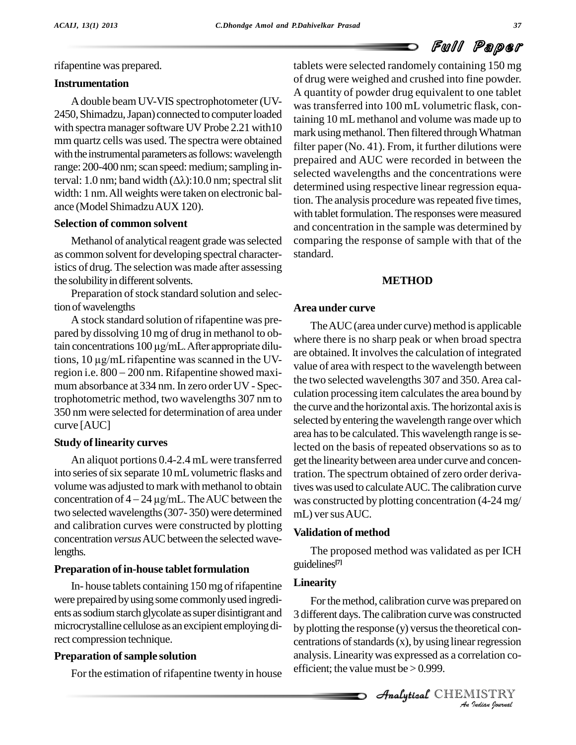rifapentine was prepared.

#### **Instrumentation**

Adouble beamUV-VIS spectrophotometer (UV- 2450, Shimadzu, Japan) connected to computer loaded with spectra manager software UV Probe 2.21 with10 mm quartz cells was used. The spectra were obtained with the instrumental parameters as follows: wavelength range: 200-400 nm; scan speed: medium; sampling interval: 1.0 nm; band width  $(\Delta \lambda)$ : 10.0 nm; spectral slit width: 1 nm.All weights were taken on electronic bal ance (Model ShimadzuAUX 120).

#### **Selection of common solvent**

Methanol of analytical reagent grade was selected as common solvent for developing spectral characteristics of drug. The selection was made after assessing the solubility in different solvents.

Preparation of stock standard solution and selection of wavelengths

A stock standard solution of rifapentine was pre pared by dissolving 10 mg of drug in methanol to ob-A stock standard solution of rifapentine was pre-<br>pared by dissolving 10 mg of drug in methanol to ob-<br>tain concentrations  $100 \mu g/mL$ . After appropriate dilupared by dissolving 10 mg of drug in methanol to obtain concentrations 100  $\mu$ g/mL. After appropriate dilutions, 10  $\mu$ g/mL rifapentine was scanned in the UVtain concentrations  $100 \mu\text{g/mL}$ . After appropriate dilutions,  $10 \mu\text{g/mL}$  rifapentine was scanned in the UV-region i.e.  $800 - 200$  nm. Rifapentine showed maximum absorbance at 334 nm. In zero order UV - Spectrophotometric method, two wavelengths 307 nm to 350 nm were selected for determination of area under curve [AUC]

#### **Study of linearity curves**

An aliquot portions 0.4-2.4 mL were transferred into series of six separate 10 mL volumetric flasks and volume was adjusted to mark with methanol to obtain tives w into series of six separate 10 mL volumetric flasks and<br>volume was adjusted to mark with methanol to obtain tives v<br>concentration of  $4 - 24 \mu g/mL$ . The AUC between the was c two selected wavelengths(307- 350) were determined and calibration curves were constructed by plotting concentration *versus* AUC between the selected wavelengths.

#### **Preparation of in-house tablet formulation**

In-house tablets containing 150 mg of rifapentine were prepaired byusing some commonlyused ingredi ents assodiumstarch glycolate assuper disintigrant and microcrystalline cellulose as an excipient employingdirect compression technique.

#### **Preparation ofsample solution**

For the estimation of rifapentine twenty in house

tablets were selected randomely containing 150 mg of drug were weighed and crushed into fine powder. A quantity of powder drug equivalent to one tablet was transferred into 100 mL volumetric flask, containing 10 mLmethanol and volume was made up to mark using methanol. Then filtered through Whatman filter paper (No. 41). From, it further dilutions were prepaired and AUC were recorded in between the selected wavelengths and the concentrations were determined using respective linear regression equation. The analysis procedure was repeated five times, with tablet formulation. The responses were measured and concentration in the sample was determined by comparing the response of sample with that of the standard.

#### **METHOD**

#### **Area under curve**

The AUC (area under curve) method is applicable where there is no sharp peak or when broad spectra are obtained. It involves the calculation of integrated value of area with respect to the wavelength between the two selected wavelengths 307 and 350.Area cal culation processing item calculates the area bound by the curve and the horizontal axis. The horizontal axis is selected byentering the wavelength range over which area has to be calculated. This wavelength range is selected on the basis of repeated observations so as to get the linearity between area under curve and concentration. The spectrum obtained of zero order derivatives was used to calculate AUC. The calibration curve was constructed by plotting concentration (4-24 mg/ mL) ver sus AUC.

#### **Validation of method**

The proposed method was validated as per ICH guidelines **[7]**

#### **Linearity**

by plotting the response (y) versus the theoretical concentrations of standards (x), by using linear regression<br>
analysis. Linearity was expressed as a correlation co-<br>
efficient; the value must be > 0.999.<br> *Analytical* C For the method, calibration curve was prepared on 3 different days.The calibration curvewas constructed centrations of standards  $(x)$ , by using linear regression analysis. Linearitywas expressed as a correlation co efficient; the value must be  $> 0.999$ .

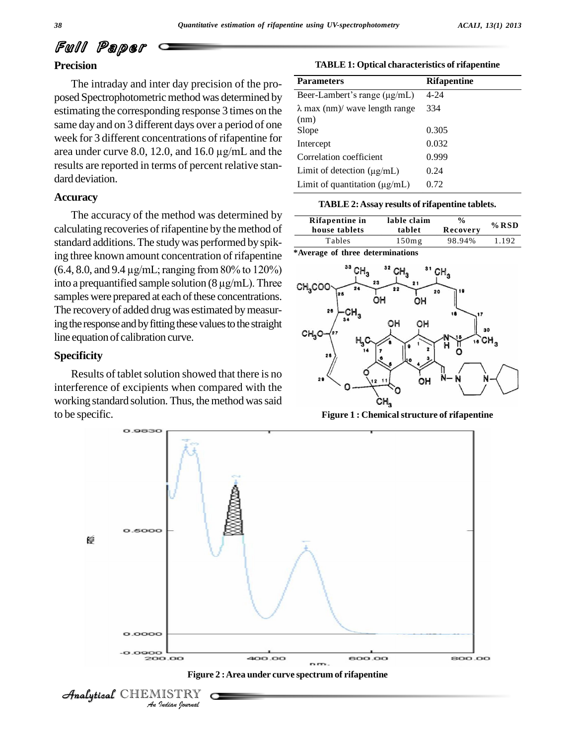# Full Paper

#### **Precision**

The intraday and inter day precision of the pro posed Spectrophotometric method was determined by estimating the corresponding response 3 times on the same day and on 3 different days over a period of one week for 3 different concentrations of rifapentine for area under curve 8.0, 12.0, and 16.0 µg/mL and the results are reported in terms of percent relative stan dard deviation.

#### **Accuracy**

The accuracy of the method was determined by calculating recoveries of rifapentine by the method of standard additions.The studywas performed by spiking three known amount concentration of rifapentine standard additions. The study was performed by spiking three known amount concentration of rifapentine  $*$ Ave (6.4, 8.0, and 9.4 µg/mL; ranging from 80% to 120%) ing three known amount concentration of rifapentine \*Avera<br>(6.4, 8.0, and 9.4  $\mu$ g/mL; ranging from 80% to 120%)<br>into a prequantified sample solution (8  $\mu$ g/mL). Three samples were prepared at each of these concentrations. The recovery of added drug was estimated by measuring the response and by fitting these values to the straight line equation of calibration curve.

#### **Specificity**

Results of tablet solution showed that there is no interference of excipients when compared with the working standard solution. Thus, the method was said to be specific.

**TABLE 1: Optical characteristics of rifapentine**

| <b>Parameters</b>                             | <b>Rifapentine</b> |
|-----------------------------------------------|--------------------|
| Beer-Lambert's range $(\mu g/mL)$             | $4 - 24$           |
| $\lambda$ max (nm)/ wave length range<br>(nm) | 334                |
| Slope                                         | 0.305              |
| Intercept                                     | 0.032              |
| Correlation coefficient                       | 0.999              |
| Limit of detection $(\mu g/mL)$               | 0.24               |
| Limit of quantitation $(\mu g/mL)$            | 0.72               |

| TABLE 2: Assay results of rifapentine tablets. |
|------------------------------------------------|
|------------------------------------------------|

|               | Rifapentine in<br>house tablets | lable claim<br>tablet | $\frac{0}{0}$<br>Recovery | $%$ RSD |
|---------------|---------------------------------|-----------------------|---------------------------|---------|
|               | Tables                          | 150mg                 | 98.94%                    | 1.192   |
| $\sim$ $\sim$ | $^{\circ}$ $^{\circ}$           |                       |                           |         |

**\*Average of three determinations**



**Figure 1 : Chemicalstructure of rifapentine**